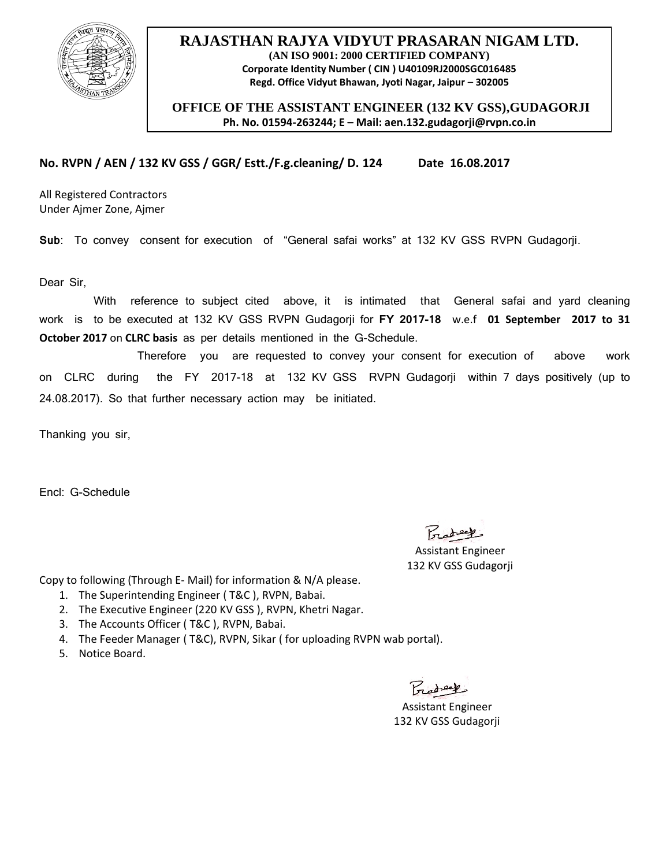

## **RAJASTHAN RAJYA VIDYUT PRASARAN NIGAM LTD. (AN ISO 9001: 2000 CERTIFIED COMPANY) Corporate Identity Number ( CIN ) U40109RJ2000SGC016485 Regd. Office Vidyut Bhawan, Jyoti Nagar, Jaipur – 302005**

 **OFFICE OF THE ASSISTANT ENGINEER (132 KV GSS),GUDAGORJI Ph. No. 01594-263244; E – Mail: aen.132.gudagorji@rvpn.co.in**

**No. RVPN / AEN / 132 KV GSS / GGR/ Estt./F.g.cleaning/ D. 124 Date 16.08.2017**

All Registered Contractors Under Ajmer Zone, Ajmer

**Sub**: To convey consent for execution of "General safai works" at 132 KV GSS RVPN Gudagorji.

Dear Sir,

 With reference to subject cited above, it is intimated that General safai and yard cleaning work is to be executed at 132 KV GSS RVPN Gudagorji for **FY 2017-18** w.e.f **01 September 2017 to 31 October 2017** on **CLRC basis** as per details mentioned in the G-Schedule.

 Therefore you are requested to convey your consent for execution of above work on CLRC during the FY 2017-18 at 132 KV GSS RVPN Gudagorji within 7 days positively (up to 24.08.2017). So that further necessary action may be initiated.

Thanking you sir,

Encl: G-Schedule

Protect

 Assistant Engineer 132 KV GSS Gudagorji

Copy to following (Through E- Mail) for information & N/A please.

- 1. The Superintending Engineer ( T&C ), RVPN, Babai.
- 2. The Executive Engineer (220 KV GSS ), RVPN, Khetri Nagar.
- 3. The Accounts Officer ( T&C ), RVPN, Babai.
- 4. The Feeder Manager ( T&C), RVPN, Sikar ( for uploading RVPN wab portal).
- 5. Notice Board.

 $P_{\text{rad}}$ 

 Assistant Engineer 132 KV GSS Gudagorji